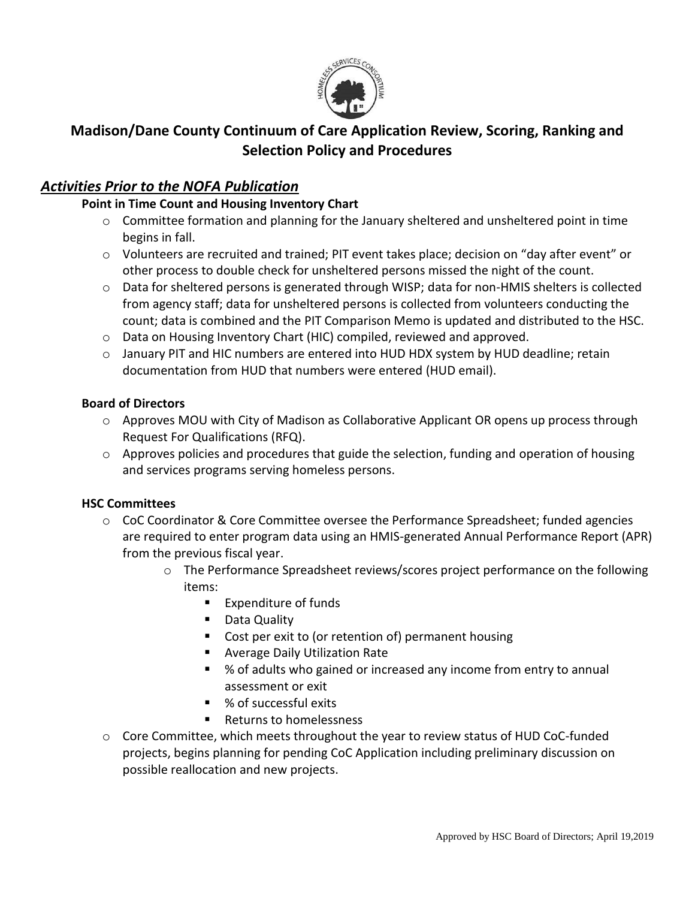

# **Madison/Dane County Continuum of Care Application Review, Scoring, Ranking and Selection Policy and Procedures**

# *Activities Prior to the NOFA Publication*

## **Point in Time Count and Housing Inventory Chart**

- $\circ$  Committee formation and planning for the January sheltered and unsheltered point in time begins in fall.
- o Volunteers are recruited and trained; PIT event takes place; decision on "day after event" or other process to double check for unsheltered persons missed the night of the count.
- o Data for sheltered persons is generated through WISP; data for non-HMIS shelters is collected from agency staff; data for unsheltered persons is collected from volunteers conducting the count; data is combined and the PIT Comparison Memo is updated and distributed to the HSC.
- o Data on Housing Inventory Chart (HIC) compiled, reviewed and approved.
- o January PIT and HIC numbers are entered into HUD HDX system by HUD deadline; retain documentation from HUD that numbers were entered (HUD email).

### **Board of Directors**

- o Approves MOU with City of Madison as Collaborative Applicant OR opens up process through Request For Qualifications (RFQ).
- $\circ$  Approves policies and procedures that guide the selection, funding and operation of housing and services programs serving homeless persons.

### **HSC Committees**

- $\circ$  CoC Coordinator & Core Committee oversee the Performance Spreadsheet; funded agencies are required to enter program data using an HMIS-generated Annual Performance Report (APR) from the previous fiscal year.
	- o The Performance Spreadsheet reviews/scores project performance on the following items:
		- Expenditure of funds
		- Data Quality
		- **Cost per exit to (or retention of) permanent housing**
		- **Average Daily Utilization Rate**
		- % of adults who gained or increased any income from entry to annual assessment or exit
		- % of successful exits
		- Returns to homelessness
- o Core Committee, which meets throughout the year to review status of HUD CoC-funded projects, begins planning for pending CoC Application including preliminary discussion on possible reallocation and new projects.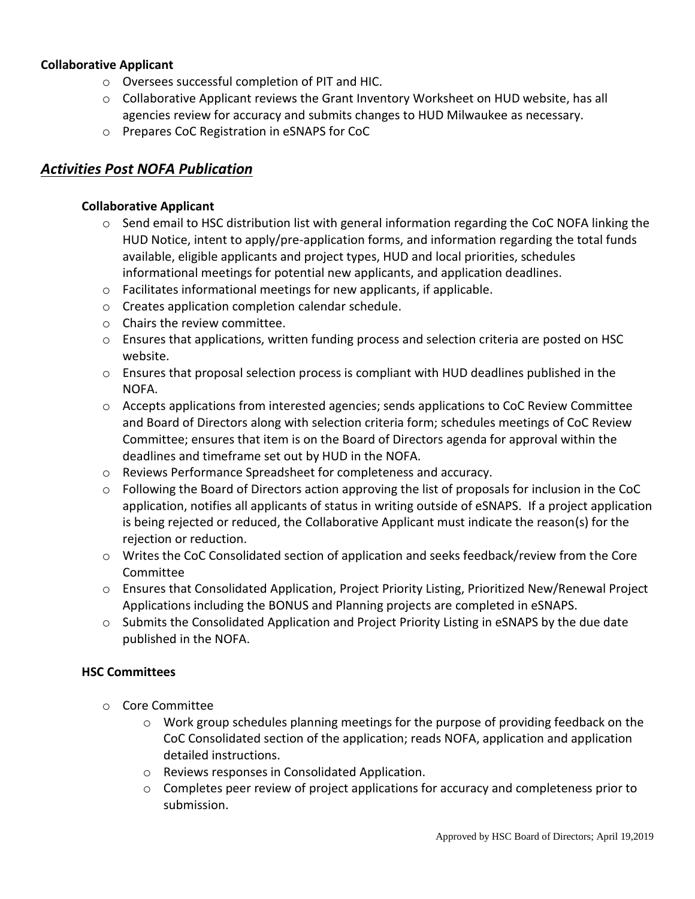### **Collaborative Applicant**

- o Oversees successful completion of PIT and HIC.
- o Collaborative Applicant reviews the Grant Inventory Worksheet on HUD website, has all agencies review for accuracy and submits changes to HUD Milwaukee as necessary.
- o Prepares CoC Registration in eSNAPS for CoC

# *Activities Post NOFA Publication*

### **Collaborative Applicant**

- $\circ$  Send email to HSC distribution list with general information regarding the CoC NOFA linking the HUD Notice, intent to apply/pre-application forms, and information regarding the total funds available, eligible applicants and project types, HUD and local priorities, schedules informational meetings for potential new applicants, and application deadlines.
- o Facilitates informational meetings for new applicants, if applicable.
- o Creates application completion calendar schedule.
- o Chairs the review committee.
- o Ensures that applications, written funding process and selection criteria are posted on HSC website.
- $\circ$  Ensures that proposal selection process is compliant with HUD deadlines published in the NOFA.
- o Accepts applications from interested agencies; sends applications to CoC Review Committee and Board of Directors along with selection criteria form; schedules meetings of CoC Review Committee; ensures that item is on the Board of Directors agenda for approval within the deadlines and timeframe set out by HUD in the NOFA.
- o Reviews Performance Spreadsheet for completeness and accuracy.
- $\circ$  Following the Board of Directors action approving the list of proposals for inclusion in the CoC application, notifies all applicants of status in writing outside of eSNAPS. If a project application is being rejected or reduced, the Collaborative Applicant must indicate the reason(s) for the rejection or reduction.
- o Writes the CoC Consolidated section of application and seeks feedback/review from the Core Committee
- o Ensures that Consolidated Application, Project Priority Listing, Prioritized New/Renewal Project Applications including the BONUS and Planning projects are completed in eSNAPS.
- o Submits the Consolidated Application and Project Priority Listing in eSNAPS by the due date published in the NOFA.

### **HSC Committees**

- o Core Committee
	- $\circ$  Work group schedules planning meetings for the purpose of providing feedback on the CoC Consolidated section of the application; reads NOFA, application and application detailed instructions.
	- o Reviews responses in Consolidated Application.
	- o Completes peer review of project applications for accuracy and completeness prior to submission.